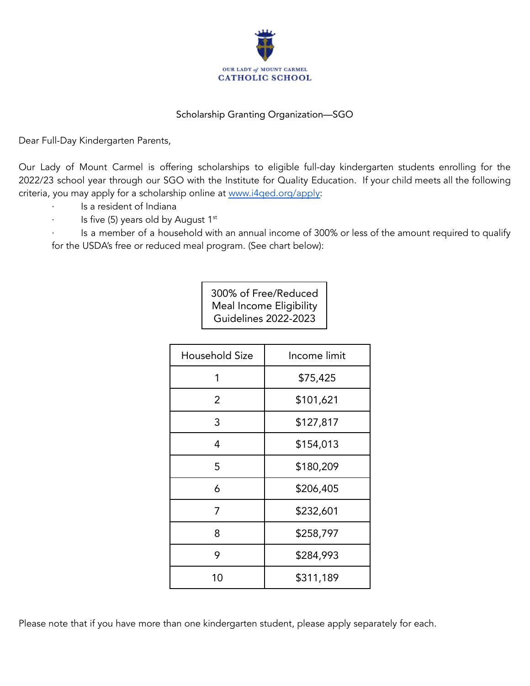

## Scholarship Granting Organization—SGO

Dear Full-Day Kindergarten Parents,

Our Lady of Mount Carmel is offering scholarships to eligible full-day kindergarten students enrolling for the 2022/23 school year through our SGO with the Institute for Quality Education. If your child meets all the following criteria, you may apply for a scholarship online at [www.i4qed.org/apply:](http://www.i4qed.org/apply)

- Is a resident of Indiana
- · Is five (5) years old by August 1<sup>st</sup>

Is a member of a household with an annual income of 300% or less of the amount required to qualify for the USDA's free or reduced meal program. (See chart below):

> 300% of Free/Reduced Meal Income Eligibility Guidelines 2022-2023

| Household Size | Income limit |
|----------------|--------------|
| 1              | \$75,425     |
| 2              | \$101,621    |
| 3              | \$127,817    |
| 4              | \$154,013    |
| 5              | \$180,209    |
| 6              | \$206,405    |
| 7              | \$232,601    |
| 8              | \$258,797    |
| 9              | \$284,993    |
| 10             | \$311,189    |

Please note that if you have more than one kindergarten student, please apply separately for each.